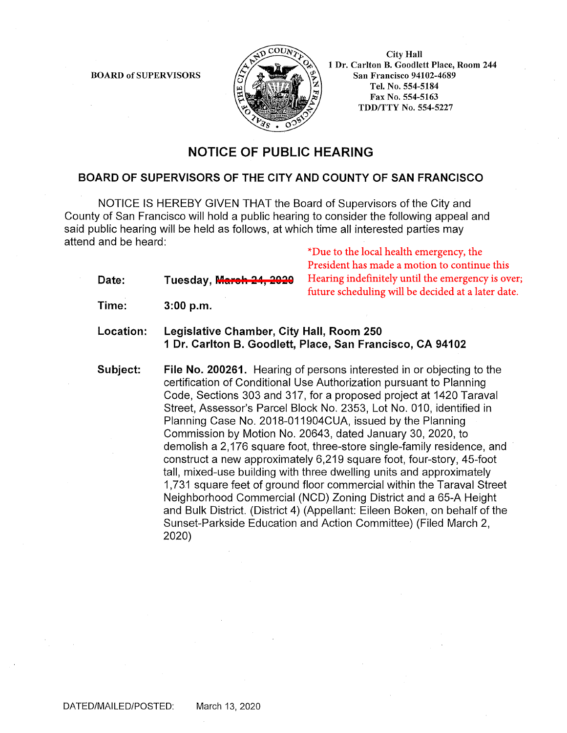BOARD of SUPERVISORS



City Hall 1 Dr. Carlton B. Goodlett Place, Room 244 San Francisco 94102-4689 Tel. No. 554-5184 Fax No. 554-5163 TDD/TTY No. 554-5227

## **NOTICE OF PUBLIC HEARING**

## **BOARD OF SUPERVISORS OF THE CITY AND COUNTY OF SAN FRANCISCO**

NOTICE IS HEREBY GIVEN THAT the Board of Supervisors of the City and County of San Francisco will hold a public hearing to consider the following appeal and said public hearing will be held as follows, at which time all interested parties may attend and be heard:

\*Due to the local health emergency, the President has made a motion to continue this Hearing indefinitely until the emergency is over; future scheduling will be decided at a later date.

**Time: 3:00 p.m.** 

Date: Tuesday, <mark>M<del>arch 24, 2020</del></mark>

- **Location: Legislative Chamber, City Hall, Room 250 1 Dr. Carlton B. Goodlett, Place, San Francisco, CA 94102**
- **Subject: File No. 200261.** Hearing of persons interested in or objecting to the certification of Conditional Use Authorization pursuant to Planning Code, Sections 303 and 317, for a proposed project at 1420 Taraval Street, Assessor's Parcel Block No. 2353, Lot No. 010, identified in Planning Case No. 2018-011904CUA, issued by the Planning Commission by Motion No. 20643, dated January 30, 2020, to demolish a 2,176 square foot, three-store single-family residence, and construct a new approximately 6,219 square foot, four-story, 45-foot tall, mixed-use building with three dwelling units and approximately 1,731 square feet of ground floor commercial within the Taraval Street Neighborhood Commercial (NCO) Zoning District and a 65-A Height and Bulk District. (District 4) (Appellant: Eileen Boken, on behalf of the Sunset-Parkside Education and Action Committee) (Filed March 2, 2020)